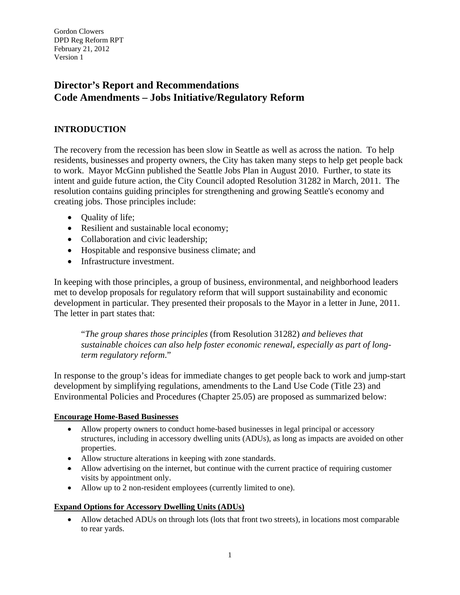# **Director's Report and Recommendations Code Amendments – Jobs Initiative/Regulatory Reform**

# **INTRODUCTION**

The recovery from the recession has been slow in Seattle as well as across the nation. To help residents, businesses and property owners, the City has taken many steps to help get people back to work. Mayor McGinn published the Seattle Jobs Plan in August 2010. Further, to state its intent and guide future action, the City Council adopted Resolution 31282 in March, 2011. The resolution contains guiding principles for strengthening and growing Seattle's economy and creating jobs. Those principles include:

- Quality of life;
- Resilient and sustainable local economy;
- Collaboration and civic leadership;
- Hospitable and responsive business climate; and
- Infrastructure investment.

In keeping with those principles, a group of business, environmental, and neighborhood leaders met to develop proposals for regulatory reform that will support sustainability and economic development in particular. They presented their proposals to the Mayor in a letter in June, 2011. The letter in part states that:

"*The group shares those principles* (from Resolution 31282) *and believes that sustainable choices can also help foster economic renewal, especially as part of longterm regulatory reform*."

In response to the group's ideas for immediate changes to get people back to work and jump-start development by simplifying regulations, amendments to the Land Use Code (Title 23) and Environmental Policies and Procedures (Chapter 25.05) are proposed as summarized below:

#### **Encourage Home-Based Businesses**

- Allow property owners to conduct home-based businesses in legal principal or accessory structures, including in accessory dwelling units (ADUs), as long as impacts are avoided on other properties.
- Allow structure alterations in keeping with zone standards.
- Allow advertising on the internet, but continue with the current practice of requiring customer visits by appointment only.
- Allow up to 2 non-resident employees (currently limited to one).

# **Expand Options for Accessory Dwelling Units (ADUs)**

 Allow detached ADUs on through lots (lots that front two streets), in locations most comparable to rear yards.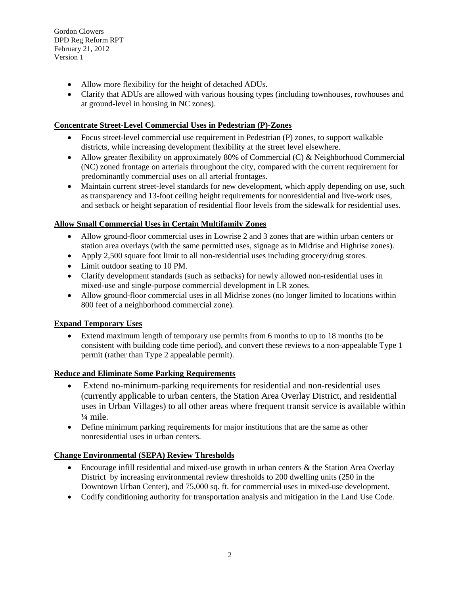- Allow more flexibility for the height of detached ADUs.
- Clarify that ADUs are allowed with various housing types (including townhouses, rowhouses and at ground-level in housing in NC zones).

#### **Concentrate Street-Level Commercial Uses in Pedestrian (P)-Zones**

- Focus street-level commercial use requirement in Pedestrian (P) zones, to support walkable districts, while increasing development flexibility at the street level elsewhere.
- Allow greater flexibility on approximately 80% of Commercial (C) & Neighborhood Commercial (NC) zoned frontage on arterials throughout the city, compared with the current requirement for predominantly commercial uses on all arterial frontages.
- Maintain current street-level standards for new development, which apply depending on use, such as transparency and 13-foot ceiling height requirements for nonresidential and live-work uses, and setback or height separation of residential floor levels from the sidewalk for residential uses.

### **Allow Small Commercial Uses in Certain Multifamily Zones**

- Allow ground-floor commercial uses in Lowrise 2 and 3 zones that are within urban centers or station area overlays (with the same permitted uses, signage as in Midrise and Highrise zones).
- Apply 2,500 square foot limit to all non-residential uses including grocery/drug stores.
- Limit outdoor seating to 10 PM.
- Clarify development standards (such as setbacks) for newly allowed non-residential uses in mixed-use and single-purpose commercial development in LR zones.
- Allow ground-floor commercial uses in all Midrise zones (no longer limited to locations within 800 feet of a neighborhood commercial zone).

#### **Expand Temporary Uses**

 Extend maximum length of temporary use permits from 6 months to up to 18 months (to be consistent with building code time period), and convert these reviews to a non-appealable Type 1 permit (rather than Type 2 appealable permit).

# **Reduce and Eliminate Some Parking Requirements**

- Extend no-minimum-parking requirements for residential and non-residential uses (currently applicable to urban centers, the Station Area Overlay District, and residential uses in Urban Villages) to all other areas where frequent transit service is available within  $\frac{1}{4}$  mile.
- Define minimum parking requirements for major institutions that are the same as other nonresidential uses in urban centers.

#### **Change Environmental (SEPA) Review Thresholds**

- Encourage infill residential and mixed-use growth in urban centers & the Station Area Overlay District by increasing environmental review thresholds to 200 dwelling units (250 in the Downtown Urban Center), and 75,000 sq. ft. for commercial uses in mixed-use development.
- Codify conditioning authority for transportation analysis and mitigation in the Land Use Code.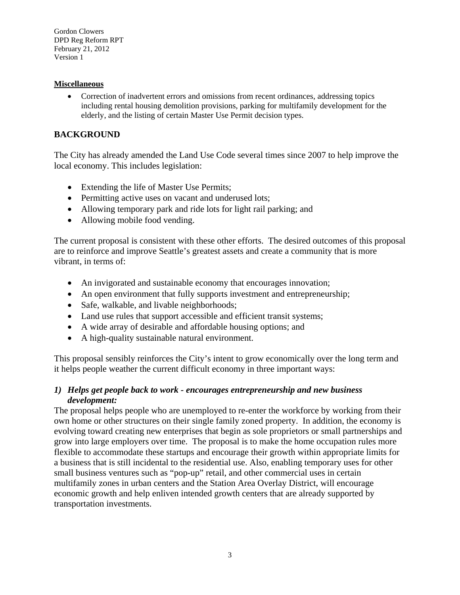#### **Miscellaneous**

 Correction of inadvertent errors and omissions from recent ordinances, addressing topics including rental housing demolition provisions, parking for multifamily development for the elderly, and the listing of certain Master Use Permit decision types.

### **BACKGROUND**

The City has already amended the Land Use Code several times since 2007 to help improve the local economy. This includes legislation:

- Extending the life of Master Use Permits;
- Permitting active uses on vacant and underused lots;
- Allowing temporary park and ride lots for light rail parking; and
- Allowing mobile food vending.

The current proposal is consistent with these other efforts. The desired outcomes of this proposal are to reinforce and improve Seattle's greatest assets and create a community that is more vibrant, in terms of:

- An invigorated and sustainable economy that encourages innovation;
- An open environment that fully supports investment and entrepreneurship;
- Safe, walkable, and livable neighborhoods;
- Land use rules that support accessible and efficient transit systems;
- A wide array of desirable and affordable housing options; and
- A high-quality sustainable natural environment.

This proposal sensibly reinforces the City's intent to grow economically over the long term and it helps people weather the current difficult economy in three important ways:

### *1) Helps get people back to work - encourages entrepreneurship and new business development:*

The proposal helps people who are unemployed to re-enter the workforce by working from their own home or other structures on their single family zoned property. In addition, the economy is evolving toward creating new enterprises that begin as sole proprietors or small partnerships and grow into large employers over time. The proposal is to make the home occupation rules more flexible to accommodate these startups and encourage their growth within appropriate limits for a business that is still incidental to the residential use. Also, enabling temporary uses for other small business ventures such as "pop-up" retail, and other commercial uses in certain multifamily zones in urban centers and the Station Area Overlay District, will encourage economic growth and help enliven intended growth centers that are already supported by transportation investments.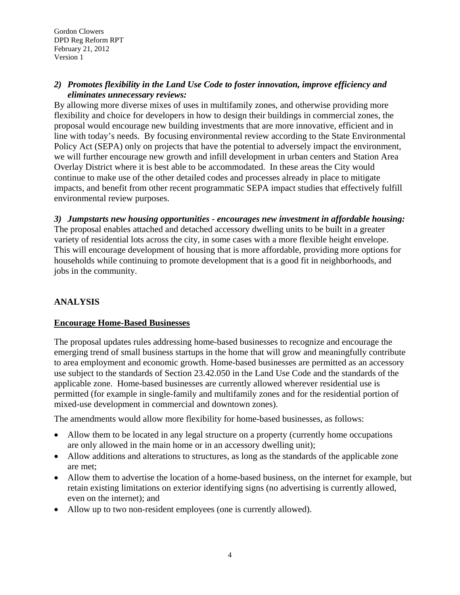### *2) Promotes flexibility in the Land Use Code to foster innovation, improve efficiency and eliminates unnecessary reviews:*

By allowing more diverse mixes of uses in multifamily zones, and otherwise providing more flexibility and choice for developers in how to design their buildings in commercial zones, the proposal would encourage new building investments that are more innovative, efficient and in line with today's needs. By focusing environmental review according to the State Environmental Policy Act (SEPA) only on projects that have the potential to adversely impact the environment, we will further encourage new growth and infill development in urban centers and Station Area Overlay District where it is best able to be accommodated. In these areas the City would continue to make use of the other detailed codes and processes already in place to mitigate impacts, and benefit from other recent programmatic SEPA impact studies that effectively fulfill environmental review purposes.

# *3) Jumpstarts new housing opportunities - encourages new investment in affordable housing:*

The proposal enables attached and detached accessory dwelling units to be built in a greater variety of residential lots across the city, in some cases with a more flexible height envelope. This will encourage development of housing that is more affordable, providing more options for households while continuing to promote development that is a good fit in neighborhoods, and jobs in the community.

# **ANALYSIS**

# **Encourage Home-Based Businesses**

The proposal updates rules addressing home-based businesses to recognize and encourage the emerging trend of small business startups in the home that will grow and meaningfully contribute to area employment and economic growth. Home-based businesses are permitted as an accessory use subject to the standards of Section 23.42.050 in the Land Use Code and the standards of the applicable zone. Home-based businesses are currently allowed wherever residential use is permitted (for example in single-family and multifamily zones and for the residential portion of mixed-use development in commercial and downtown zones).

The amendments would allow more flexibility for home-based businesses, as follows:

- Allow them to be located in any legal structure on a property (currently home occupations are only allowed in the main home or in an accessory dwelling unit);
- Allow additions and alterations to structures, as long as the standards of the applicable zone are met;
- Allow them to advertise the location of a home-based business, on the internet for example, but retain existing limitations on exterior identifying signs (no advertising is currently allowed, even on the internet); and
- Allow up to two non-resident employees (one is currently allowed).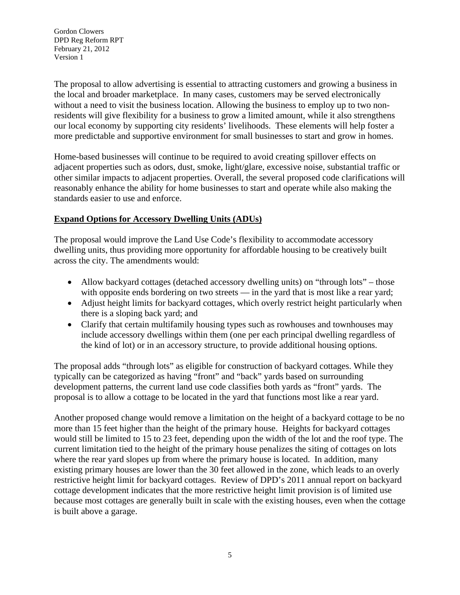The proposal to allow advertising is essential to attracting customers and growing a business in the local and broader marketplace. In many cases, customers may be served electronically without a need to visit the business location. Allowing the business to employ up to two nonresidents will give flexibility for a business to grow a limited amount, while it also strengthens our local economy by supporting city residents' livelihoods. These elements will help foster a more predictable and supportive environment for small businesses to start and grow in homes.

Home-based businesses will continue to be required to avoid creating spillover effects on adjacent properties such as odors, dust, smoke, light/glare, excessive noise, substantial traffic or other similar impacts to adjacent properties. Overall, the several proposed code clarifications will reasonably enhance the ability for home businesses to start and operate while also making the standards easier to use and enforce.

# **Expand Options for Accessory Dwelling Units (ADUs)**

The proposal would improve the Land Use Code's flexibility to accommodate accessory dwelling units, thus providing more opportunity for affordable housing to be creatively built across the city. The amendments would:

- Allow backyard cottages (detached accessory dwelling units) on "through lots" those with opposite ends bordering on two streets — in the yard that is most like a rear yard;
- Adjust height limits for backyard cottages, which overly restrict height particularly when there is a sloping back yard; and
- Clarify that certain multifamily housing types such as rowhouses and townhouses may include accessory dwellings within them (one per each principal dwelling regardless of the kind of lot) or in an accessory structure, to provide additional housing options.

The proposal adds "through lots" as eligible for construction of backyard cottages. While they typically can be categorized as having "front" and "back" yards based on surrounding development patterns, the current land use code classifies both yards as "front" yards. The proposal is to allow a cottage to be located in the yard that functions most like a rear yard.

Another proposed change would remove a limitation on the height of a backyard cottage to be no more than 15 feet higher than the height of the primary house. Heights for backyard cottages would still be limited to 15 to 23 feet, depending upon the width of the lot and the roof type. The current limitation tied to the height of the primary house penalizes the siting of cottages on lots where the rear yard slopes up from where the primary house is located. In addition, many existing primary houses are lower than the 30 feet allowed in the zone, which leads to an overly restrictive height limit for backyard cottages. Review of DPD's 2011 annual report on backyard cottage development indicates that the more restrictive height limit provision is of limited use because most cottages are generally built in scale with the existing houses, even when the cottage is built above a garage.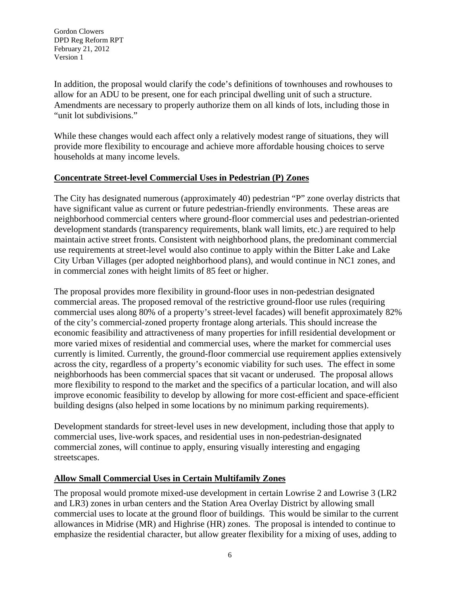In addition, the proposal would clarify the code's definitions of townhouses and rowhouses to allow for an ADU to be present, one for each principal dwelling unit of such a structure. Amendments are necessary to properly authorize them on all kinds of lots, including those in "unit lot subdivisions."

While these changes would each affect only a relatively modest range of situations, they will provide more flexibility to encourage and achieve more affordable housing choices to serve households at many income levels.

### **Concentrate Street-level Commercial Uses in Pedestrian (P) Zones**

The City has designated numerous (approximately 40) pedestrian "P" zone overlay districts that have significant value as current or future pedestrian-friendly environments. These areas are neighborhood commercial centers where ground-floor commercial uses and pedestrian-oriented development standards (transparency requirements, blank wall limits, etc.) are required to help maintain active street fronts. Consistent with neighborhood plans, the predominant commercial use requirements at street-level would also continue to apply within the Bitter Lake and Lake City Urban Villages (per adopted neighborhood plans), and would continue in NC1 zones, and in commercial zones with height limits of 85 feet or higher.

The proposal provides more flexibility in ground-floor uses in non-pedestrian designated commercial areas. The proposed removal of the restrictive ground-floor use rules (requiring commercial uses along 80% of a property's street-level facades) will benefit approximately 82% of the city's commercial-zoned property frontage along arterials. This should increase the economic feasibility and attractiveness of many properties for infill residential development or more varied mixes of residential and commercial uses, where the market for commercial uses currently is limited. Currently, the ground-floor commercial use requirement applies extensively across the city, regardless of a property's economic viability for such uses. The effect in some neighborhoods has been commercial spaces that sit vacant or underused. The proposal allows more flexibility to respond to the market and the specifics of a particular location, and will also improve economic feasibility to develop by allowing for more cost-efficient and space-efficient building designs (also helped in some locations by no minimum parking requirements).

Development standards for street-level uses in new development, including those that apply to commercial uses, live-work spaces, and residential uses in non-pedestrian-designated commercial zones, will continue to apply, ensuring visually interesting and engaging streetscapes.

#### **Allow Small Commercial Uses in Certain Multifamily Zones**

The proposal would promote mixed-use development in certain Lowrise 2 and Lowrise 3 (LR2 and LR3) zones in urban centers and the Station Area Overlay District by allowing small commercial uses to locate at the ground floor of buildings. This would be similar to the current allowances in Midrise (MR) and Highrise (HR) zones. The proposal is intended to continue to emphasize the residential character, but allow greater flexibility for a mixing of uses, adding to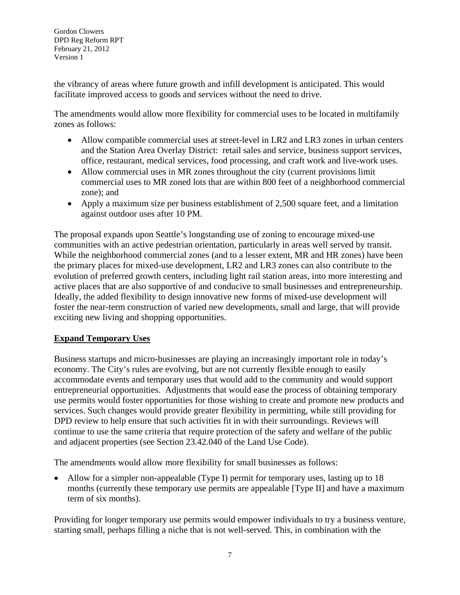the vibrancy of areas where future growth and infill development is anticipated. This would facilitate improved access to goods and services without the need to drive.

The amendments would allow more flexibility for commercial uses to be located in multifamily zones as follows:

- Allow compatible commercial uses at street-level in LR2 and LR3 zones in urban centers and the Station Area Overlay District: retail sales and service, business support services, office, restaurant, medical services, food processing, and craft work and live-work uses.
- Allow commercial uses in MR zones throughout the city (current provisions limit commercial uses to MR zoned lots that are within 800 feet of a neighborhood commercial zone); and
- Apply a maximum size per business establishment of 2,500 square feet, and a limitation against outdoor uses after 10 PM.

The proposal expands upon Seattle's longstanding use of zoning to encourage mixed-use communities with an active pedestrian orientation, particularly in areas well served by transit. While the neighborhood commercial zones (and to a lesser extent, MR and HR zones) have been the primary places for mixed-use development, LR2 and LR3 zones can also contribute to the evolution of preferred growth centers, including light rail station areas, into more interesting and active places that are also supportive of and conducive to small businesses and entrepreneurship. Ideally, the added flexibility to design innovative new forms of mixed-use development will foster the near-term construction of varied new developments, small and large, that will provide exciting new living and shopping opportunities.

# **Expand Temporary Uses**

Business startups and micro-businesses are playing an increasingly important role in today's economy. The City's rules are evolving, but are not currently flexible enough to easily accommodate events and temporary uses that would add to the community and would support entrepreneurial opportunities. Adjustments that would ease the process of obtaining temporary use permits would foster opportunities for those wishing to create and promote new products and services. Such changes would provide greater flexibility in permitting, while still providing for DPD review to help ensure that such activities fit in with their surroundings. Reviews will continue to use the same criteria that require protection of the safety and welfare of the public and adjacent properties (see Section 23.42.040 of the Land Use Code).

The amendments would allow more flexibility for small businesses as follows:

• Allow for a simpler non-appealable (Type I) permit for temporary uses, lasting up to 18 months (currently these temporary use permits are appealable [Type II] and have a maximum term of six months).

Providing for longer temporary use permits would empower individuals to try a business venture, starting small, perhaps filling a niche that is not well-served. This, in combination with the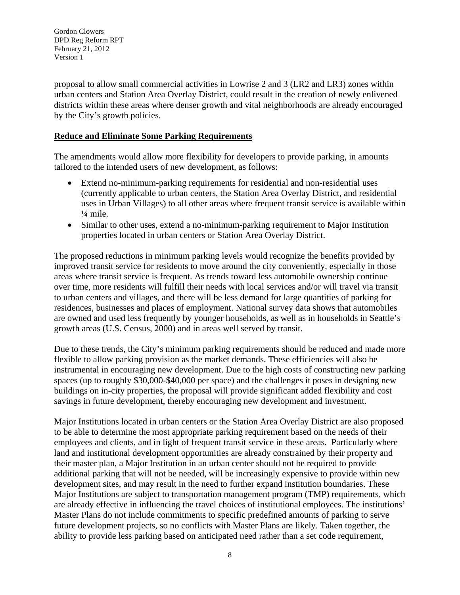proposal to allow small commercial activities in Lowrise 2 and 3 (LR2 and LR3) zones within urban centers and Station Area Overlay District, could result in the creation of newly enlivened districts within these areas where denser growth and vital neighborhoods are already encouraged by the City's growth policies.

### **Reduce and Eliminate Some Parking Requirements**

The amendments would allow more flexibility for developers to provide parking, in amounts tailored to the intended users of new development, as follows:

- Extend no-minimum-parking requirements for residential and non-residential uses (currently applicable to urban centers, the Station Area Overlay District, and residential uses in Urban Villages) to all other areas where frequent transit service is available within ¼ mile.
- Similar to other uses, extend a no-minimum-parking requirement to Major Institution properties located in urban centers or Station Area Overlay District.

The proposed reductions in minimum parking levels would recognize the benefits provided by improved transit service for residents to move around the city conveniently, especially in those areas where transit service is frequent. As trends toward less automobile ownership continue over time, more residents will fulfill their needs with local services and/or will travel via transit to urban centers and villages, and there will be less demand for large quantities of parking for residences, businesses and places of employment. National survey data shows that automobiles are owned and used less frequently by younger households, as well as in households in Seattle's growth areas (U.S. Census, 2000) and in areas well served by transit.

Due to these trends, the City's minimum parking requirements should be reduced and made more flexible to allow parking provision as the market demands. These efficiencies will also be instrumental in encouraging new development. Due to the high costs of constructing new parking spaces (up to roughly \$30,000-\$40,000 per space) and the challenges it poses in designing new buildings on in-city properties, the proposal will provide significant added flexibility and cost savings in future development, thereby encouraging new development and investment.

Major Institutions located in urban centers or the Station Area Overlay District are also proposed to be able to determine the most appropriate parking requirement based on the needs of their employees and clients, and in light of frequent transit service in these areas. Particularly where land and institutional development opportunities are already constrained by their property and their master plan, a Major Institution in an urban center should not be required to provide additional parking that will not be needed, will be increasingly expensive to provide within new development sites, and may result in the need to further expand institution boundaries. These Major Institutions are subject to transportation management program (TMP) requirements, which are already effective in influencing the travel choices of institutional employees. The institutions' Master Plans do not include commitments to specific predefined amounts of parking to serve future development projects, so no conflicts with Master Plans are likely. Taken together, the ability to provide less parking based on anticipated need rather than a set code requirement,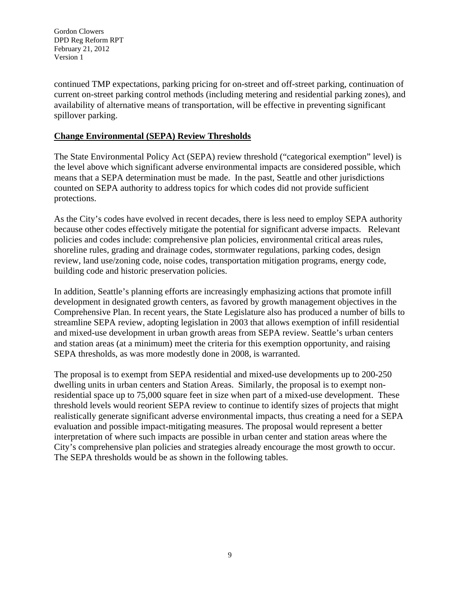continued TMP expectations, parking pricing for on-street and off-street parking, continuation of current on-street parking control methods (including metering and residential parking zones), and availability of alternative means of transportation, will be effective in preventing significant spillover parking.

### **Change Environmental (SEPA) Review Thresholds**

The State Environmental Policy Act (SEPA) review threshold ("categorical exemption" level) is the level above which significant adverse environmental impacts are considered possible, which means that a SEPA determination must be made. In the past, Seattle and other jurisdictions counted on SEPA authority to address topics for which codes did not provide sufficient protections.

As the City's codes have evolved in recent decades, there is less need to employ SEPA authority because other codes effectively mitigate the potential for significant adverse impacts. Relevant policies and codes include: comprehensive plan policies, environmental critical areas rules, shoreline rules, grading and drainage codes, stormwater regulations, parking codes, design review, land use/zoning code, noise codes, transportation mitigation programs, energy code, building code and historic preservation policies.

In addition, Seattle's planning efforts are increasingly emphasizing actions that promote infill development in designated growth centers, as favored by growth management objectives in the Comprehensive Plan. In recent years, the State Legislature also has produced a number of bills to streamline SEPA review, adopting legislation in 2003 that allows exemption of infill residential and mixed-use development in urban growth areas from SEPA review. Seattle's urban centers and station areas (at a minimum) meet the criteria for this exemption opportunity, and raising SEPA thresholds, as was more modestly done in 2008, is warranted.

The proposal is to exempt from SEPA residential and mixed-use developments up to 200-250 dwelling units in urban centers and Station Areas. Similarly, the proposal is to exempt nonresidential space up to 75,000 square feet in size when part of a mixed-use development. These threshold levels would reorient SEPA review to continue to identify sizes of projects that might realistically generate significant adverse environmental impacts, thus creating a need for a SEPA evaluation and possible impact-mitigating measures. The proposal would represent a better interpretation of where such impacts are possible in urban center and station areas where the City's comprehensive plan policies and strategies already encourage the most growth to occur. The SEPA thresholds would be as shown in the following tables.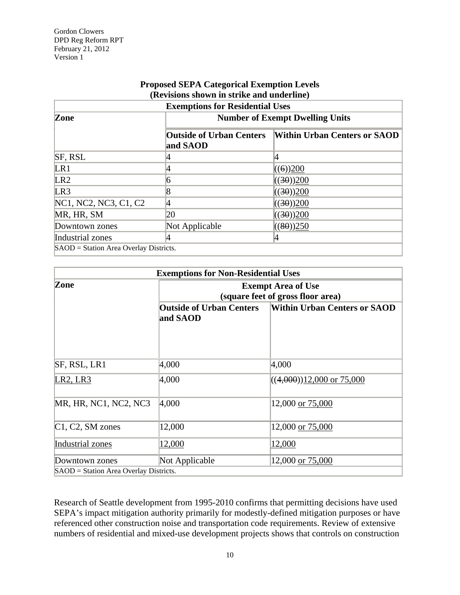| <b>Proposed SEPA Categorical Exemption Levels</b> |  |
|---------------------------------------------------|--|
| (Revisions shown in strike and underline)         |  |

| <b>Exemptions for Residential Uses</b> |                                             |                                     |  |  |
|----------------------------------------|---------------------------------------------|-------------------------------------|--|--|
| Zone                                   | <b>Number of Exempt Dwelling Units</b>      |                                     |  |  |
|                                        | <b>Outside of Urban Centers</b><br>and SAOD | <b>Within Urban Centers or SAOD</b> |  |  |
| <b>SF, RSL</b>                         |                                             |                                     |  |  |
| LR1                                    |                                             | ((6))200                            |  |  |
| LR2                                    | 6                                           | ((30))200                           |  |  |
| LR3                                    | 8                                           | ((30))200                           |  |  |
| NC1, NC2, NC3, C1, C2                  |                                             | ((30))200                           |  |  |
| MR, HR, SM                             | 20                                          | ((30))200                           |  |  |
| Downtown zones                         | Not Applicable                              | ((80))250                           |  |  |
| Industrial zones                       |                                             |                                     |  |  |
| SAOD = Station Area Overlay Districts. |                                             |                                     |  |  |

| <b>Exemptions for Non-Residential Uses</b> |                                                                |                                     |  |
|--------------------------------------------|----------------------------------------------------------------|-------------------------------------|--|
| Zone                                       | <b>Exempt Area of Use</b><br>(square feet of gross floor area) |                                     |  |
|                                            | <b>Outside of Urban Centers</b><br>and SAOD                    | <b>Within Urban Centers or SAOD</b> |  |
| SF, RSL, LR1                               | 4,000                                                          | 4,000                               |  |
| LR2, LR3                                   | 4,000                                                          | $((4,000))12,000$ or 75,000         |  |
| MR, HR, NC1, NC2, NC3                      | 4,000                                                          | 12,000 or 75,000                    |  |
| C1, C2, SM zones                           | 12,000                                                         | 12,000 or 75,000                    |  |
| Industrial zones                           | 12,000                                                         | 12,000                              |  |
| Downtown zones                             | Not Applicable                                                 | 12,000 or 75,000                    |  |
| SAOD = Station Area Overlay Districts.     |                                                                |                                     |  |

Research of Seattle development from 1995-2010 confirms that permitting decisions have used SEPA's impact mitigation authority primarily for modestly-defined mitigation purposes or have referenced other construction noise and transportation code requirements. Review of extensive numbers of residential and mixed-use development projects shows that controls on construction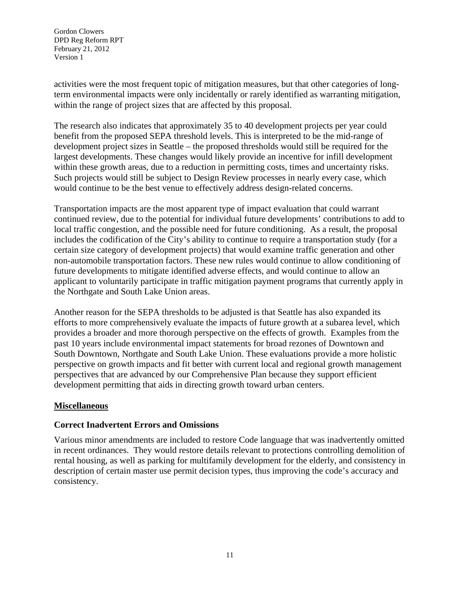activities were the most frequent topic of mitigation measures, but that other categories of longterm environmental impacts were only incidentally or rarely identified as warranting mitigation, within the range of project sizes that are affected by this proposal.

The research also indicates that approximately 35 to 40 development projects per year could benefit from the proposed SEPA threshold levels. This is interpreted to be the mid-range of development project sizes in Seattle – the proposed thresholds would still be required for the largest developments. These changes would likely provide an incentive for infill development within these growth areas, due to a reduction in permitting costs, times and uncertainty risks. Such projects would still be subject to Design Review processes in nearly every case, which would continue to be the best venue to effectively address design-related concerns.

Transportation impacts are the most apparent type of impact evaluation that could warrant continued review, due to the potential for individual future developments' contributions to add to local traffic congestion, and the possible need for future conditioning. As a result, the proposal includes the codification of the City's ability to continue to require a transportation study (for a certain size category of development projects) that would examine traffic generation and other non-automobile transportation factors. These new rules would continue to allow conditioning of future developments to mitigate identified adverse effects, and would continue to allow an applicant to voluntarily participate in traffic mitigation payment programs that currently apply in the Northgate and South Lake Union areas.

Another reason for the SEPA thresholds to be adjusted is that Seattle has also expanded its efforts to more comprehensively evaluate the impacts of future growth at a subarea level, which provides a broader and more thorough perspective on the effects of growth. Examples from the past 10 years include environmental impact statements for broad rezones of Downtown and South Downtown, Northgate and South Lake Union. These evaluations provide a more holistic perspective on growth impacts and fit better with current local and regional growth management perspectives that are advanced by our Comprehensive Plan because they support efficient development permitting that aids in directing growth toward urban centers.

# **Miscellaneous**

# **Correct Inadvertent Errors and Omissions**

Various minor amendments are included to restore Code language that was inadvertently omitted in recent ordinances. They would restore details relevant to protections controlling demolition of rental housing, as well as parking for multifamily development for the elderly, and consistency in description of certain master use permit decision types, thus improving the code's accuracy and consistency.